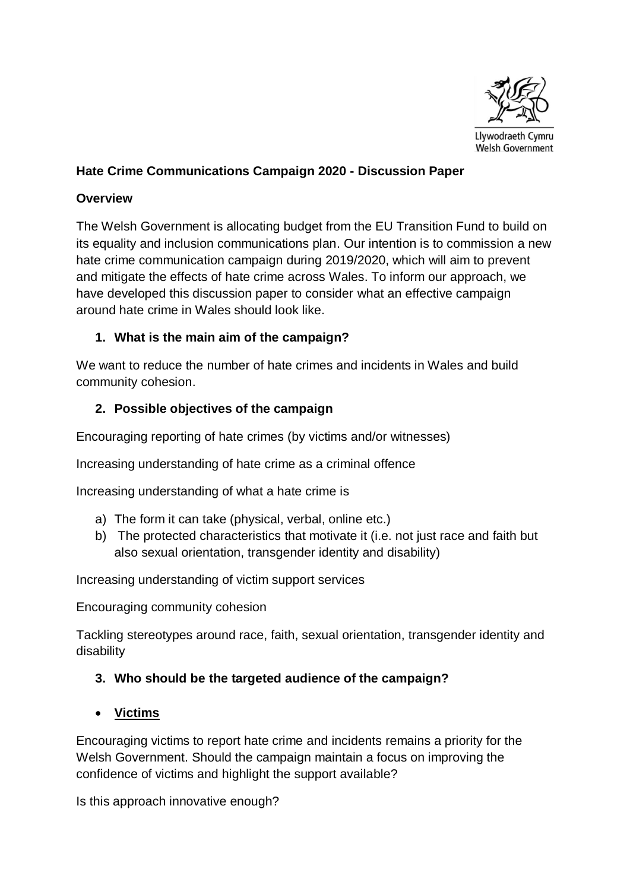

#### **Hate Crime Communications Campaign 2020 - Discussion Paper**

#### **Overview**

The Welsh Government is allocating budget from the EU Transition Fund to build on its equality and inclusion communications plan. Our intention is to commission a new hate crime communication campaign during 2019/2020, which will aim to prevent and mitigate the effects of hate crime across Wales. To inform our approach, we have developed this discussion paper to consider what an effective campaign around hate crime in Wales should look like.

#### **1. What is the main aim of the campaign?**

We want to reduce the number of hate crimes and incidents in Wales and build community cohesion.

#### **2. Possible objectives of the campaign**

Encouraging reporting of hate crimes (by victims and/or witnesses)

Increasing understanding of hate crime as a criminal offence

Increasing understanding of what a hate crime is

- a) The form it can take (physical, verbal, online etc.)
- b) The protected characteristics that motivate it (i.e. not just race and faith but also sexual orientation, transgender identity and disability)

Increasing understanding of victim support services

Encouraging community cohesion

Tackling stereotypes around race, faith, sexual orientation, transgender identity and disability

#### **3. Who should be the targeted audience of the campaign?**

**Victims**

Encouraging victims to report hate crime and incidents remains a priority for the Welsh Government. Should the campaign maintain a focus on improving the confidence of victims and highlight the support available?

Is this approach innovative enough?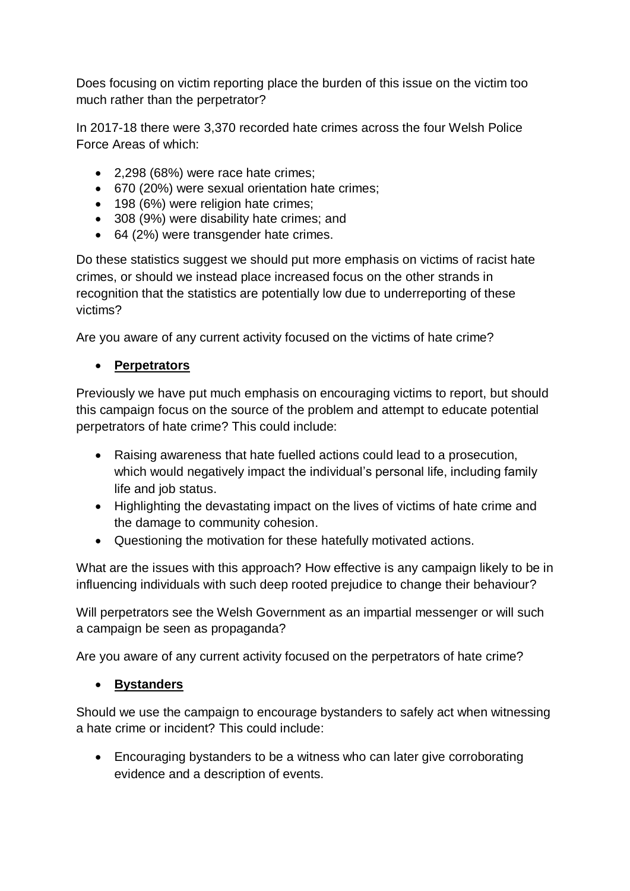Does focusing on victim reporting place the burden of this issue on the victim too much rather than the perpetrator?

In 2017-18 there were 3,370 recorded hate crimes across the four Welsh Police Force Areas of which:

- 2,298 (68%) were race hate crimes;
- 670 (20%) were sexual orientation hate crimes;
- 198 (6%) were religion hate crimes;
- 308 (9%) were disability hate crimes; and
- 64 (2%) were transgender hate crimes.

Do these statistics suggest we should put more emphasis on victims of racist hate crimes, or should we instead place increased focus on the other strands in recognition that the statistics are potentially low due to underreporting of these victims?

Are you aware of any current activity focused on the victims of hate crime?

#### **Perpetrators**

Previously we have put much emphasis on encouraging victims to report, but should this campaign focus on the source of the problem and attempt to educate potential perpetrators of hate crime? This could include:

- Raising awareness that hate fuelled actions could lead to a prosecution, which would negatively impact the individual's personal life, including family life and job status.
- Highlighting the devastating impact on the lives of victims of hate crime and the damage to community cohesion.
- Questioning the motivation for these hatefully motivated actions.

What are the issues with this approach? How effective is any campaign likely to be in influencing individuals with such deep rooted prejudice to change their behaviour?

Will perpetrators see the Welsh Government as an impartial messenger or will such a campaign be seen as propaganda?

Are you aware of any current activity focused on the perpetrators of hate crime?

#### **Bystanders**

Should we use the campaign to encourage bystanders to safely act when witnessing a hate crime or incident? This could include:

 Encouraging bystanders to be a witness who can later give corroborating evidence and a description of events.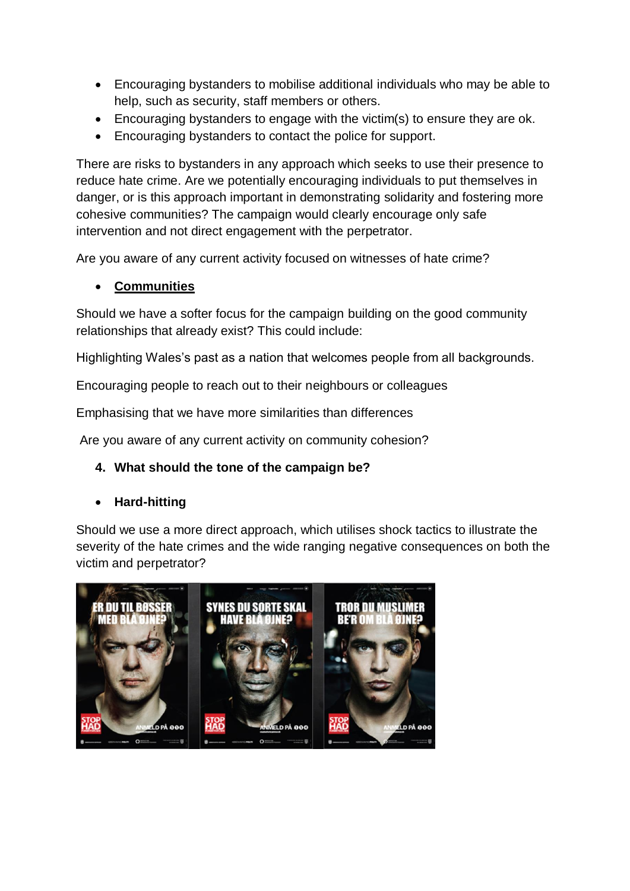- Encouraging bystanders to mobilise additional individuals who may be able to help, such as security, staff members or others.
- Encouraging bystanders to engage with the victim(s) to ensure they are ok.
- Encouraging bystanders to contact the police for support.

There are risks to bystanders in any approach which seeks to use their presence to reduce hate crime. Are we potentially encouraging individuals to put themselves in danger, or is this approach important in demonstrating solidarity and fostering more cohesive communities? The campaign would clearly encourage only safe intervention and not direct engagement with the perpetrator.

Are you aware of any current activity focused on witnesses of hate crime?

# **Communities**

Should we have a softer focus for the campaign building on the good community relationships that already exist? This could include:

Highlighting Wales's past as a nation that welcomes people from all backgrounds.

Encouraging people to reach out to their neighbours or colleagues

Emphasising that we have more similarities than differences

Are you aware of any current activity on community cohesion?

# **4. What should the tone of the campaign be?**

# **Hard-hitting**

Should we use a more direct approach, which utilises shock tactics to illustrate the severity of the hate crimes and the wide ranging negative consequences on both the victim and perpetrator?

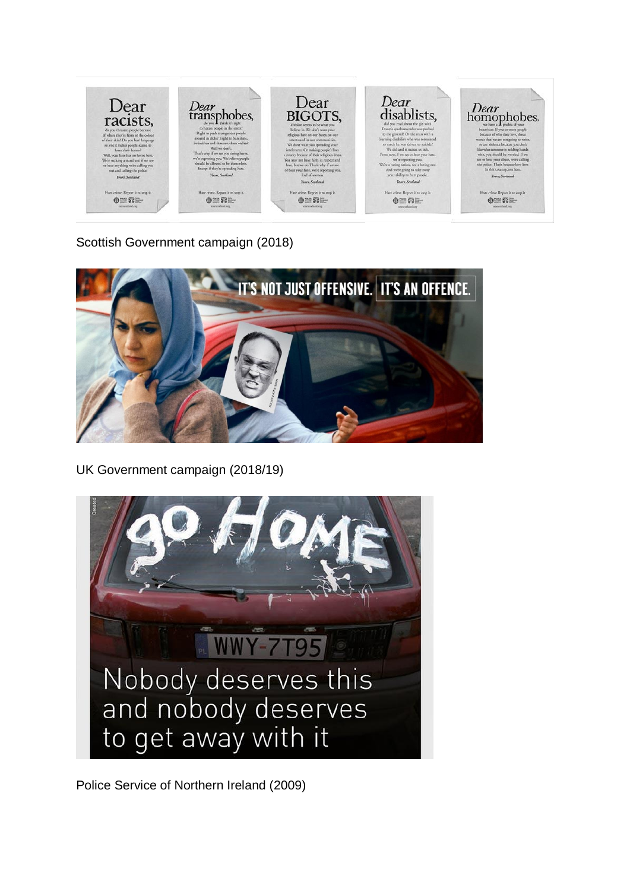

Scottish Government campaign (2018)



UK Government campaign (2018/19)



Police Service of Northern Ireland (2009)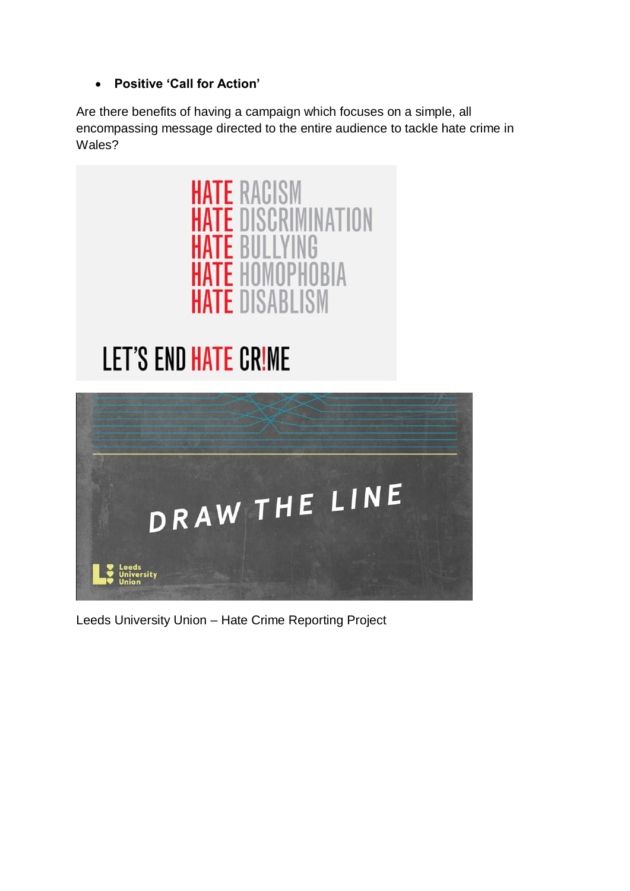# **Positive 'Call for Action'**

Are there benefits of having a campaign which focuses on a simple, all encompassing message directed to the entire audience to tackle hate crime in Wales?



# **LET'S END HATE CRIME**



Leeds University Union – Hate Crime Reporting Project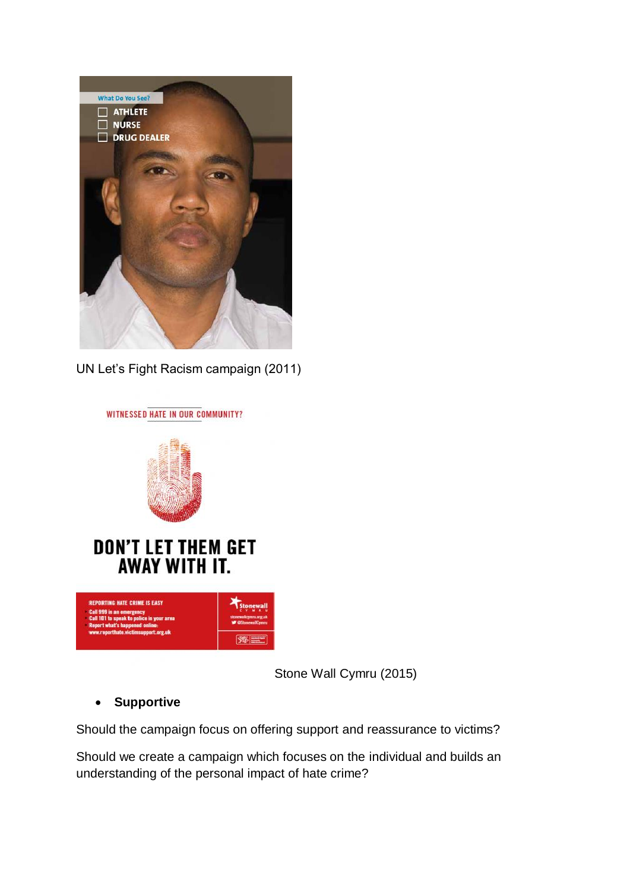

UN Let's Fight Racism campaign (2011)



Stone Wall Cymru (2015)

# **Supportive**

Should the campaign focus on offering support and reassurance to victims?

Should we create a campaign which focuses on the individual and builds an understanding of the personal impact of hate crime?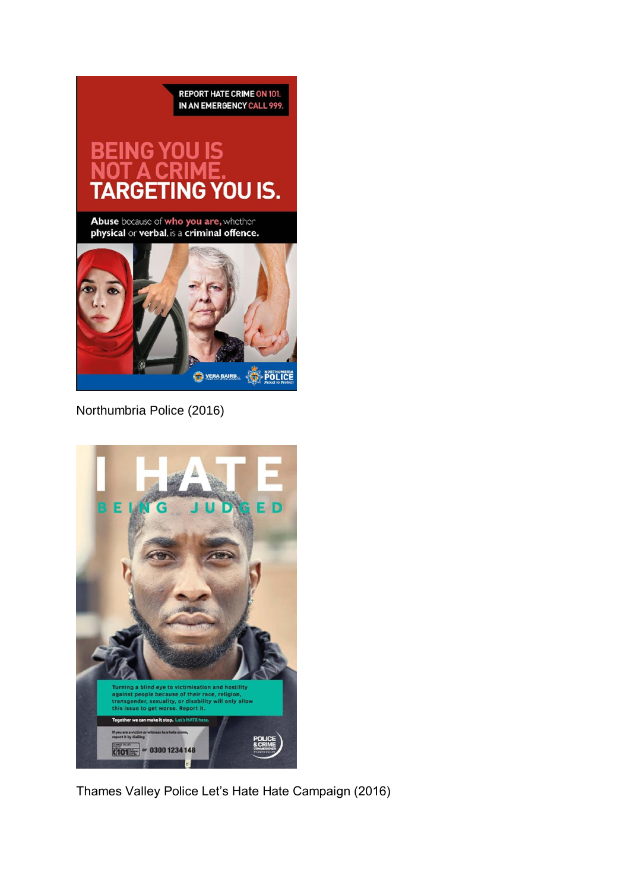**REPORT HATE CRIME ON 101.** IN AN EMERGENCY CALL 999.

# YOU IS. ٩G

Abuse because of who you are, whether<br>physical or verbal, is a criminal offence.



Northumbria Police (2016)



Thames Valley Police Let's Hate Hate Campaign (2016)